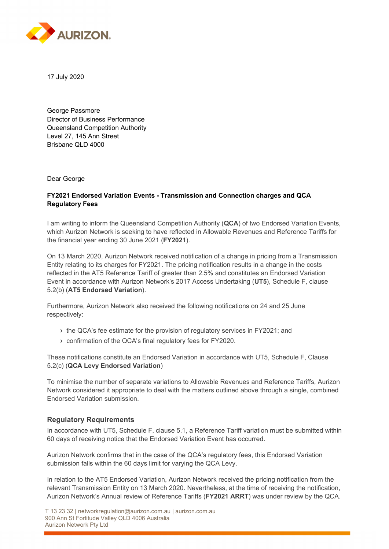

17 July 2020

George Passmore Director of Business Performance Queensland Competition Authority Level 27, 145 Ann Street Brisbane QLD 4000

Dear George

## **FY2021 Endorsed Variation Events - Transmission and Connection charges and QCA Regulatory Fees**

I am writing to inform the Queensland Competition Authority (**QCA**) of two Endorsed Variation Events, which Aurizon Network is seeking to have reflected in Allowable Revenues and Reference Tariffs for the financial year ending 30 June 2021 (**FY2021**).

On 13 March 2020, Aurizon Network received notification of a change in pricing from a Transmission Entity relating to its charges for FY2021. The pricing notification results in a change in the costs reflected in the AT5 Reference Tariff of greater than 2.5% and constitutes an Endorsed Variation Event in accordance with Aurizon Network's 2017 Access Undertaking (**UT5**), Schedule F, clause 5.2(b) (**AT5 Endorsed Variation**).

Furthermore, Aurizon Network also received the following notifications on 24 and 25 June respectively:

- **›** the QCA's fee estimate for the provision of regulatory services in FY2021; and
- **›** confirmation of the QCA's final regulatory fees for FY2020.

These notifications constitute an Endorsed Variation in accordance with UT5, Schedule F, Clause 5.2(c) (**QCA Levy Endorsed Variation**)

To minimise the number of separate variations to Allowable Revenues and Reference Tariffs, Aurizon Network considered it appropriate to deal with the matters outlined above through a single, combined Endorsed Variation submission.

# **Regulatory Requirements**

In accordance with UT5, Schedule F, clause 5.1, a Reference Tariff variation must be submitted within 60 days of receiving notice that the Endorsed Variation Event has occurred.

Aurizon Network confirms that in the case of the QCA's regulatory fees, this Endorsed Variation submission falls within the 60 days limit for varying the QCA Levy.

In relation to the AT5 Endorsed Variation, Aurizon Network received the pricing notification from the relevant Transmission Entity on 13 March 2020. Nevertheless, at the time of receiving the notification, Aurizon Network's Annual review of Reference Tariffs (**FY2021 ARRT**) was under review by the QCA.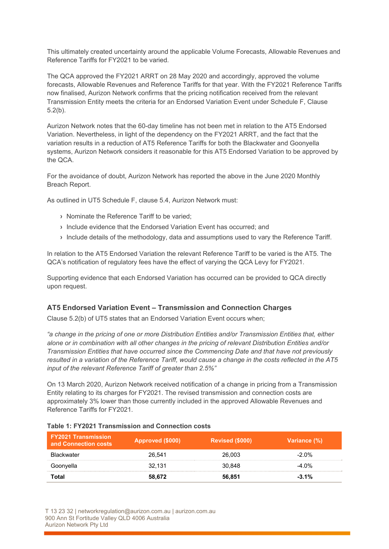This ultimately created uncertainty around the applicable Volume Forecasts, Allowable Revenues and Reference Tariffs for FY2021 to be varied.

The QCA approved the FY2021 ARRT on 28 May 2020 and accordingly, approved the volume forecasts, Allowable Revenues and Reference Tariffs for that year. With the FY2021 Reference Tariffs now finalised, Aurizon Network confirms that the pricing notification received from the relevant Transmission Entity meets the criteria for an Endorsed Variation Event under Schedule F, Clause 5.2(b).

Aurizon Network notes that the 60-day timeline has not been met in relation to the AT5 Endorsed Variation. Nevertheless, in light of the dependency on the FY2021 ARRT, and the fact that the variation results in a reduction of AT5 Reference Tariffs for both the Blackwater and Goonyella systems, Aurizon Network considers it reasonable for this AT5 Endorsed Variation to be approved by the QCA.

For the avoidance of doubt, Aurizon Network has reported the above in the June 2020 Monthly Breach Report.

As outlined in UT5 Schedule F, clause 5.4, Aurizon Network must:

- **›** Nominate the Reference Tariff to be varied;
- **›** Include evidence that the Endorsed Variation Event has occurred; and
- **›** Include details of the methodology, data and assumptions used to vary the Reference Tariff.

In relation to the AT5 Endorsed Variation the relevant Reference Tariff to be varied is the AT5. The QCA's notification of regulatory fees have the effect of varying the QCA Levy for FY2021.

Supporting evidence that each Endorsed Variation has occurred can be provided to QCA directly upon request.

# **AT5 Endorsed Variation Event – Transmission and Connection Charges**

Clause 5.2(b) of UT5 states that an Endorsed Variation Event occurs when;

*"a change in the pricing of one or more Distribution Entities and/or Transmission Entities that, either alone or in combination with all other changes in the pricing of relevant Distribution Entities and/or Transmission Entities that have occurred since the Commencing Date and that have not previously resulted in a variation of the Reference Tariff, would cause a change in the costs reflected in the AT5 input of the relevant Reference Tariff of greater than 2.5%"* 

On 13 March 2020, Aurizon Network received notification of a change in pricing from a Transmission Entity relating to its charges for FY2021. The revised transmission and connection costs are approximately 3% lower than those currently included in the approved Allowable Revenues and Reference Tariffs for FY2021.

| <b>FY2021 Transmission</b><br>and Connection costs | Approved (\$000) | <b>Revised (\$000)</b> | Variance (%) |
|----------------------------------------------------|------------------|------------------------|--------------|
| <b>Blackwater</b>                                  | 26.541           | 26.003                 | $-2.0\%$     |
| Goonyella                                          | 32.131           | 30.848                 | $-4.0\%$     |
| Total                                              | 58.672           | 56.851                 | $-3.1\%$     |

### **Table 1: FY2021 Transmission and Connection costs**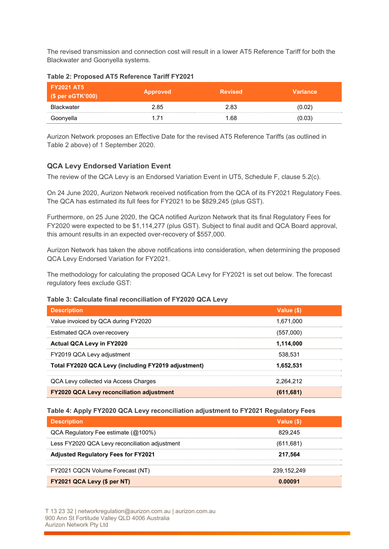The revised transmission and connection cost will result in a lower AT5 Reference Tariff for both the Blackwater and Goonyella systems.

| <b>FY2021 AT5</b><br>(\$ per eGTK'000) | <b>Approved</b> | <b>Revised</b> | <b>Variance</b> |
|----------------------------------------|-----------------|----------------|-----------------|
| <b>Blackwater</b>                      | 2.85            | 2.83           | (0.02)          |
| Goonyella                              | - 71            | .68            | (0.03)          |

### **Table 2: Proposed AT5 Reference Tariff FY2021**

Aurizon Network proposes an Effective Date for the revised AT5 Reference Tariffs (as outlined in Table 2 above) of 1 September 2020.

# **QCA Levy Endorsed Variation Event**

The review of the QCA Levy is an Endorsed Variation Event in UT5, Schedule F, clause 5.2(c).

On 24 June 2020, Aurizon Network received notification from the QCA of its FY2021 Regulatory Fees. The QCA has estimated its full fees for FY2021 to be \$829,245 (plus GST).

Furthermore, on 25 June 2020, the QCA notified Aurizon Network that its final Regulatory Fees for FY2020 were expected to be \$1,114,277 (plus GST). Subject to final audit and QCA Board approval, this amount results in an expected over-recovery of \$557,000.

Aurizon Network has taken the above notifications into consideration, when determining the proposed QCA Levy Endorsed Variation for FY2021.

The methodology for calculating the proposed QCA Levy for FY2021 is set out below. The forecast regulatory fees exclude GST:

#### **Table 3: Calculate final reconciliation of FY2020 QCA Levy**

| <b>Description</b>                                  | Value (\$) |  |  |
|-----------------------------------------------------|------------|--|--|
| Value invoiced by QCA during FY2020                 | 1.671.000  |  |  |
| Estimated QCA over-recovery                         | (557,000)  |  |  |
| <b>Actual QCA Levy in FY2020</b>                    | 1.114.000  |  |  |
| FY2019 QCA Levy adjustment                          | 538.531    |  |  |
| Total FY2020 QCA Levy (including FY2019 adjustment) | 1,652,531  |  |  |
| QCA Levy collected via Access Charges               | 2.264.212  |  |  |
| <b>FY2020 QCA Levy reconciliation adjustment</b>    | (611, 681) |  |  |

#### **Table 4: Apply FY2020 QCA Levy reconciliation adjustment to FY2021 Regulatory Fees**

| <b>Description</b>                             | Value (\$)  |
|------------------------------------------------|-------------|
| $QCA$ Regulatory Fee estimate ( $@100\%$ )     | 829.245     |
| Less FY2020 QCA Levy reconciliation adjustment | (611, 681)  |
| <b>Adjusted Regulatory Fees for FY2021</b>     | 217.564     |
| FY2021 CQCN Volume Forecast (NT)               | 239.152.249 |
| FY2021 QCA Levy (\$ per NT)                    | 0.00091     |